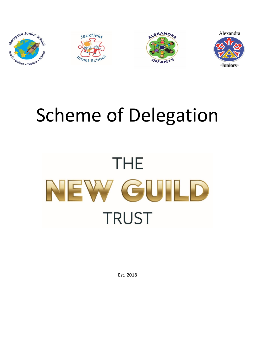

# Scheme of Delegation



Est, 2018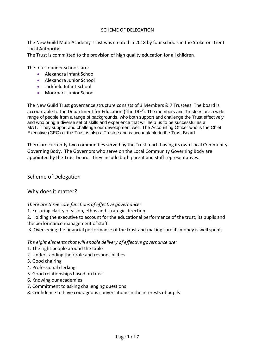#### SCHEME OF DELEGATION

The New Guild Multi Academy Trust was created in 2018 by four schools in the Stoke-on-Trent Local Authority.

The Trust is committed to the provision of high quality education for all children.

The four founder schools are:

- Alexandra Infant School
- Alexandra Junior School
- Jackfield Infant School
- Moorpark Junior School

The New Guild Trust governance structure consists of 3 Members & 7 Trustees. The board is accountable to the Department for Education ('the DfE'). The members and Trustees are a wide range of people from a range of backgrounds, who both support and challenge the Trust effectively and who bring a diverse set of skills and experience that will help us to be successful as a MAT. They support and challenge our development well. The Accounting Officer who is the Chief Executive (CEO) of the Trust is also a Trustee and is accountable to the Trust Board.

There are currently two communities served by the Trust, each having its own Local Community Governing Body. The Governors who serve on the Local Community Governing Body are appointed by the Trust board. They include both parent and staff representatives.

Scheme of Delegation

Why does it matter?

*There are three core functions of effective governance:* 

1. Ensuring clarity of vision, ethos and strategic direction.

2. Holding the executive to account for the educational performance of the trust, its pupils and the performance management of staff.

3. Overseeing the financial performance of the trust and making sure its money is well spent.

*The eight elements that will enable delivery of effective governance are:* 

- 1. The right people around the table
- 2. Understanding their role and responsibilities
- 3. Good chairing
- 4. Professional clerking
- 5. Good relationships based on trust
- 6. Knowing our academies
- 7. Commitment to asking challenging questions
- 8. Confidence to have courageous conversations in the interests of pupils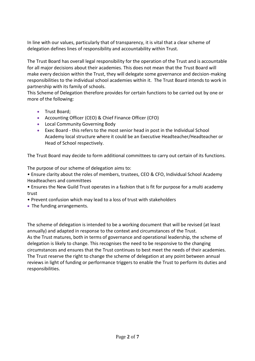In line with our values, particularly that of transparency, it is vital that a clear scheme of delegation defines lines of responsibility and accountability within Trust.

The Trust Board has overall legal responsibility for the operation of the Trust and is accountable for all major decisions about their academies. This does not mean that the Trust Board will make every decision within the Trust, they will delegate some governance and decision-making responsibilities to the individual school academies within it. The Trust Board intends to work in partnership with its family of schools.

This Scheme of Delegation therefore provides for certain functions to be carried out by one or more of the following:

- Trust Board;
- Accounting Officer (CEO) & Chief Finance Officer (CFO)
- Local Community Governing Body
- Exec Board this refers to the most senior head in post in the Individual School Academy local structure where it could be an Executive Headteacher/Headteacher or Head of School respectively.

The Trust Board may decide to form additional committees to carry out certain of its functions.

The purpose of our scheme of delegation aims to:

• Ensure clarity about the roles of members, trustees, CEO & CFO, Individual School Academy Headteachers and committees

• Ensures the New Guild Trust operates in a fashion that is fit for purpose for a multi academy trust

- Prevent confusion which may lead to a loss of trust with stakeholders
- The funding arrangements.

The scheme of delegation is intended to be a working document that will be revised (at least annually) and adapted in response to the context and circumstances of the Trust. As the Trust matures, both in terms of governance and operational leadership, the scheme of delegation is likely to change. This recognises the need to be responsive to the changing circumstances and ensures that the Trust continues to best meet the needs of their academies. The Trust reserve the right to change the scheme of delegation at any point between annual reviews in light of funding or performance triggers to enable the Trust to perform its duties and responsibilities.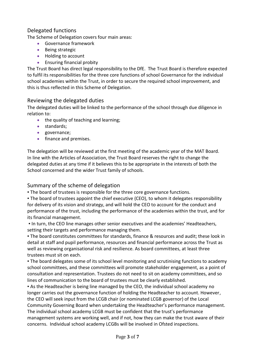## Delegated functions

The Scheme of Delegation covers four main areas:

- Governance framework
- Being strategic
- Holding to account
- **•** Ensuring financial probity

The Trust Board has direct legal responsibility to the DfE. The Trust Board is therefore expected to fulfil its responsibilities for the three core functions of school Governance for the individual school academies within the Trust, in order to secure the required school improvement, and this is thus reflected in this Scheme of Delegation.

### Reviewing the delegated duties

The delegated duties will be linked to the performance of the school through due diligence in relation to:

- the quality of teaching and learning;
- standards;
- governance;
- **•** finance and premises.

The delegation will be reviewed at the first meeting of the academic year of the MAT Board. In line with the Articles of Association, the Trust Board reserves the right to change the delegated duties at any time if it believes this to be appropriate in the interests of both the School concerned and the wider Trust family of schools.

### Summary of the scheme of delegation

. The board of trustees is responsible for the three core governance functions.

• The board of trustees appoint the chief executive (CEO), to whom it delegates responsibility for delivery of its vision and strategy, and will hold the CEO to account for the conduct and performance of the trust, including the performance of the academies within the trust, and for its financial management.

▪ In turn, the CEO line manages other senior executives and the academies' Headteachers, setting their targets and performance managing them.

▪ The board constitutes committees for standards, finance & resources and audit; these look in detail at staff and pupil performance, resources and financial performance across the Trust as well as reviewing organisational risk and resilience. As board committees, at least three trustees must sit on each.

. The board delegates some of its school level monitoring and scrutinising functions to academy school committees, and these committees will promote stakeholder engagement, as a point of consultation and representation. Trustees do not need to sit on academy committees, and so lines of communication to the board of trustees must be clearly established.

**•** As the Headteacher is being line managed by the CEO, the individual school academy no longer carries out the governance function of holding the Headteacher to account. However, the CEO will seek input from the LCGB chair (or nominated LCGB governor) of the Local Community Governing Board when undertaking the Headteacher's performance management. The individual school academy LCGB must be confident that the trust's performance

management systems are working well, and if not, how they can make the trust aware of their concerns. Individual school academy LCGBs will be involved in Ofsted inspections.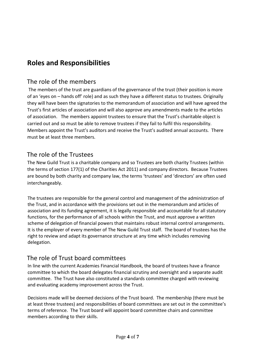# **Roles and Responsibilities**

## The role of the members

The members of the trust are guardians of the governance of the trust (their position is more of an 'eyes on – hands off' role) and as such they have a different status to trustees. Originally they will have been the signatories to the memorandum of association and will have agreed the Trust's first articles of association and will also approve any amendments made to the articles of association. The members appoint trustees to ensure that the Trust's charitable object is carried out and so must be able to remove trustees if they fail to fulfil this responsibility. Members appoint the Trust's auditors and receive the Trust's audited annual accounts. There must be at least three members.

## The role of the Trustees

The New Guild Trust is a charitable company and so Trustees are both charity Trustees (within the terms of section 177(1) of the Charities Act 2011) and company directors. Because Trustees are bound by both charity and company law, the terms 'trustees' and 'directors' are often used interchangeably.

The trustees are responsible for the general control and management of the administration of the Trust, and in accordance with the provisions set out in the memorandum and articles of association and its funding agreement, it is legally responsible and accountable for all statutory functions, for the performance of all schools within the Trust, and must approve a written scheme of delegation of financial powers that maintains robust internal control arrangements. It is the employer of every member of The New Guild Trust staff. The board of trustees has the right to review and adapt its governance structure at any time which includes removing delegation.

## The role of Trust board committees

In line with the current Academies Financial Handbook, the board of trustees have a finance committee to which the board delegates financial scrutiny and oversight and a separate audit committee. The Trust have also constituted a standards committee charged with reviewing and evaluating academy improvement across the Trust.

Decisions made will be deemed decisions of the Trust board. The membership (there must be at least three trustees) and responsibilities of board committees are set out in the committee's terms of reference. The Trust board will appoint board committee chairs and committee members according to their skills.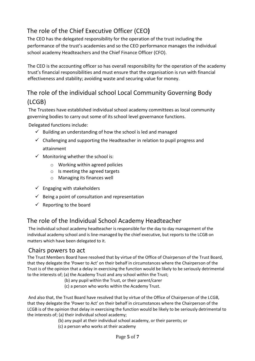# The role of the Chief Executive Officer (CEO**)**

The CEO has the delegated responsibility for the operation of the trust including the performance of the trust's academies and so the CEO performance manages the individual school academy Headteachers and the Chief Finance Officer (CFO).

The CEO is the accounting officer so has overall responsibility for the operation of the academy trust's financial responsibilities and must ensure that the organisation is run with financial effectiveness and stability; avoiding waste and securing value for money.

# The role of the individual school Local Community Governing Body (LCGB)

The Trustees have established individual school academy committees as local community governing bodies to carry out some of its school level governance functions.

Delegated functions include:

- $\checkmark$  Building an understanding of how the school is led and managed
- $\checkmark$  Challenging and supporting the Headteacher in relation to pupil progress and attainment
- $\checkmark$  Monitoring whether the school is:
	- o Working within agreed policies
	- $\circ$  Is meeting the agreed targets
	- o Managing its finances well
- $\checkmark$  Engaging with stakeholders
- $\checkmark$  Being a point of consultation and representation
- $\checkmark$  Reporting to the board

## The role of the Individual School Academy Headteacher

The individual school academy headteacher is responsible for the day to day management of the individual academy school and is line-managed by the chief executive, but reports to the LCGB on matters which have been delegated to it.

## Chairs powers to act

The Trust Members Board have resolved that by virtue of the Office of Chairperson of the Trust Board, that they delegate the 'Power to Act' on their behalf in circumstances where the Chairperson of the Trust is of the opinion that a delay in exercising the function would be likely to be seriously detrimental to the interests of; (a) the Academy Trust and any school within the Trust;

- (b) any pupil within the Trust, or their parent/carer
- (c) a person who works within the Academy Trust.

And also that, the Trust Board have resolved that by virtue of the Office of Chairperson of the LCGB, that they delegate the 'Power to Act' on their behalf in circumstances where the Chairperson of the LCGB is of the opinion that delay in exercising the function would be likely to be seriously detrimental to the interests of; (a) their individual school academy;

- (b) any pupil at their individual school academy, or their parents; or
- (c) a person who works at their academy